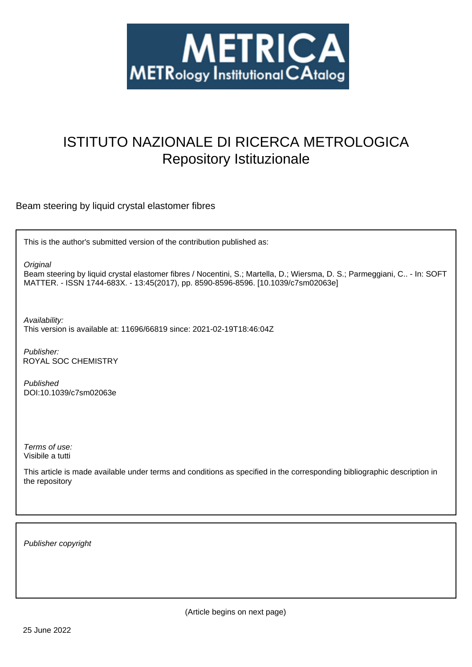

# ISTITUTO NAZIONALE DI RICERCA METROLOGICA Repository Istituzionale

Beam steering by liquid crystal elastomer fibres

This is the author's submitted version of the contribution published as:

**Original** 

Beam steering by liquid crystal elastomer fibres / Nocentini, S.; Martella, D.; Wiersma, D. S.; Parmeggiani, C.. - In: SOFT MATTER. - ISSN 1744-683X. - 13:45(2017), pp. 8590-8596-8596. [10.1039/c7sm02063e]

Availability:

This version is available at: 11696/66819 since: 2021-02-19T18:46:04Z

Publisher: ROYAL SOC CHEMISTRY

Published DOI:10.1039/c7sm02063e

Terms of use: Visibile a tutti

This article is made available under terms and conditions as specified in the corresponding bibliographic description in the repository

Publisher copyright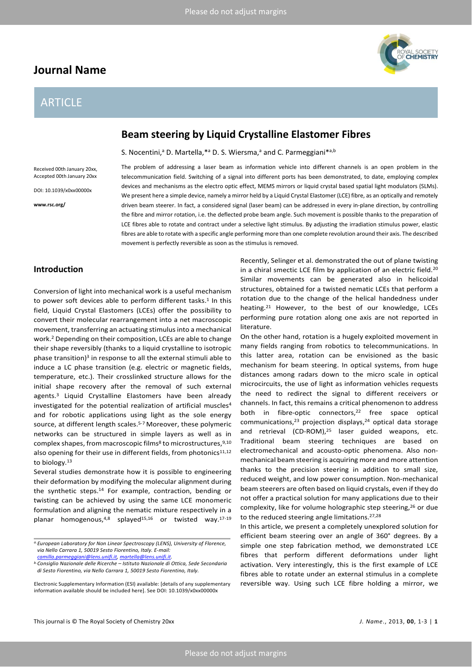## **Journal Name**

## ARTICLE



## **Beam steering by Liquid Crystalline Elastomer Fibres**

S. Nocentini,<sup>a</sup> D. Martella,\*<sup>a</sup> D. S. Wiersma,<sup>a</sup> and C. Parmeggiani\*<sup>a,b</sup>

Accepted 00th January 20xx

Received 00th January 20xx,

DOI: 10.1039/x0xx00000x

**www.rsc.org/**

The problem of addressing a laser beam as information vehicle into different channels is an open problem in the telecommunication field. Switching of a signal into different ports has been demonstrated, to date, employing complex devices and mechanisms as the electro optic effect, MEMS mirrors or liquid crystal based spatial light modulators (SLMs). We present here a simple device, namely a mirror held by a Liquid Crystal Elastomer (LCE) fibre, as an optically and remotely driven beam steerer. In fact, a considered signal (laser beam) can be addressed in every in-plane direction, by controlling the fibre and mirror rotation, i.e. the deflected probe beam angle. Such movement is possible thanks to the preparation of LCE fibres able to rotate and contract under a selective light stimulus. By adjusting the irradiation stimulus power, elastic fibres are able to rotate with a specific angle performing more than one complete revolution around their axis. The described movement is perfectly reversible as soon as the stimulus is removed.

### **Introduction**

Conversion of light into mechanical work is a useful mechanism to power soft devices able to perform different tasks.<sup>1</sup> In this field, Liquid Crystal Elastomers (LCEs) offer the possibility to convert their molecular rearrangement into a net macroscopic movement, transferring an actuating stimulus into a mechanical work.2 Depending on their composition, LCEs are able to change their shape reversibly (thanks to a liquid crystalline to isotropic phase transition)<sup>3</sup> in response to all the external stimuli able to induce a LC phase transition (e.g. electric or magnetic fields, temperature, etc.). Their crosslinked structure allows for the initial shape recovery after the removal of such external agents.3 Liquid Crystalline Elastomers have been already investigated for the potential realization of artificial muscles<sup>4</sup> and for robotic applications using light as the sole energy source, at different length scales.<sup>5-7</sup> Moreover, these polymeric networks can be structured in simple layers as well as in complex shapes, from macroscopic films<sup>8</sup> to microstructures,  $9,10$ also opening for their use in different fields, from photonics<sup>11,12</sup> to biology.<sup>13</sup>

Several studies demonstrate how it is possible to engineering their deformation by modifying the molecular alignment during the synthetic steps.14 For example, contraction, bending or twisting can be achieved by using the same LCE monomeric formulation and aligning the nematic mixture respectively in a planar homogenous,4,8 splayed15,16 or twisted way.17-19

This journal is © The Royal Society of Chemistry 20xx *J. Name*., 2013, **00**, 1-3 | **1**

Recently, Selinger et al. demonstrated the out of plane twisting in a chiral smectic LCE film by application of an electric field.20 Similar movements can be generated also in helicoidal structures, obtained for a twisted nematic LCEs that perform a rotation due to the change of the helical handedness under heating.21 However, to the best of our knowledge, LCEs performing pure rotation along one axis are not reported in literature.

On the other hand, rotation is a hugely exploited movement in many fields ranging from robotics to telecommunications. In this latter area, rotation can be envisioned as the basic mechanism for beam steering. In optical systems, from huge distances among radars down to the micro scale in optical microcircuits, the use of light as information vehicles requests the need to redirect the signal to different receivers or channels. In fact, this remains a critical phenomenon to address both in fibre-optic connectors,<sup>22</sup> free space optical communications, $23$  projection displays, $24$  optical data storage and retrieval (CD-ROM), $25$  laser guided weapons, etc. Traditional beam steering techniques are based on electromechanical and acousto-optic phenomena. Also nonmechanical beam steering is acquiring more and more attention thanks to the precision steering in addition to small size, reduced weight, and low power consumption. Non-mechanical beam steerers are often based on liquid crystals, even if they do not offer a practical solution for many applications due to their complexity, like for volume holographic step steering, <sup>26</sup> or due to the reduced steering angle limitations.27,28

In this article, we present a completely unexplored solution for efficient beam steering over an angle of 360° degrees. By a simple one step fabrication method, we demonstrated LCE fibres that perform different deformations under light activation. Very interestingly, this is the first example of LCE fibres able to rotate under an external stimulus in a complete reversible way. Using such LCE fibre holding a mirror, we

*a.European Laboratory for Non Linear Spectroscopy (LENS), University of Florence, via Nello Carrara 1, 50019 Sesto Fiorentino, Italy. E-mail:* 

*[camilla.parmeggiani@lens.unifi.it,](mailto:camilla.parmeggiani@lens.unifi.it) [martella@lens.unifi.it.](mailto:martella@lens.unifi.it)*

*b.Consiglio Nazionale delle Ricerche – Istituto Nazionale di Ottica, Sede Secondaria di Sesto Fiorentino, via Nello Carrara 1, 50019 Sesto Fiorentino, Italy.*

Electronic Supplementary Information (ESI) available: [details of any supplementary information available should be included here]. See DOI: 10.1039/x0xx00000x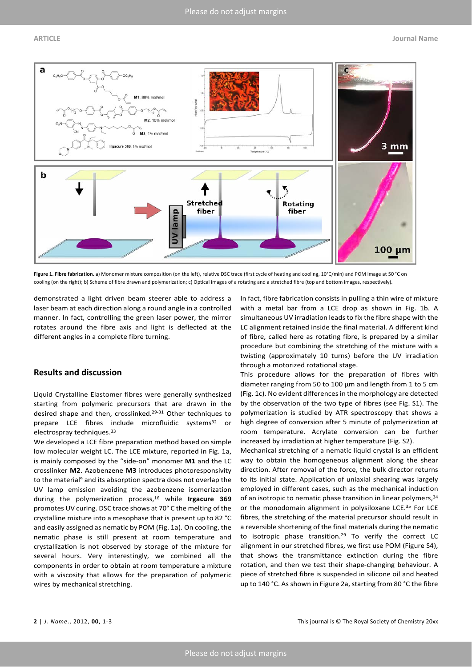

**Figure 1. Fibre fabrication.** a) Monomer mixture composition (on the left), relative DSC trace (first cycle of heating and cooling, 10°C/min) and POM image at 50 °C on cooling (on the right); b) Scheme of fibre drawn and polymerization; c) Optical images of a rotating and a stretched fibre (top and bottom images, respectively).

demonstrated a light driven beam steerer able to address a laser beam at each direction along a round angle in a controlled manner. In fact, controlling the green laser power, the mirror rotates around the fibre axis and light is deflected at the different angles in a complete fibre turning.

### **Results and discussion**

Liquid Crystalline Elastomer fibres were generally synthesized starting from polymeric precursors that are drawn in the desired shape and then, crosslinked.29-31 Other techniques to prepare LCE fibres include microfluidic systems<sup>32</sup> or electrospray techniques.33

We developed a LCE fibre preparation method based on simple low molecular weight LC. The LCE mixture, reported in Fig. 1a, is mainly composed by the "side-on" monomer **M1** and the LC crosslinker **M2**. Azobenzene **M3** introduces photoresponsivity to the material<sup>9</sup> and its absorption spectra does not overlap the UV lamp emission avoiding the azobenzene isomerization during the polymerization process,16 while **Irgacure 369** promotes UV curing. DSC trace shows at 70° C the melting of the crystalline mixture into a mesophase that is present up to 82 °C and easily assigned as nematic by POM (Fig. 1a). On cooling, the nematic phase is still present at room temperature and crystallization is not observed by storage of the mixture for several hours. Very interestingly, we combined all the components in order to obtain at room temperature a mixture with a viscosity that allows for the preparation of polymeric wires by mechanical stretching.

In fact, fibre fabrication consists in pulling a thin wire of mixture with a metal bar from a LCE drop as shown in Fig. 1b. A simultaneous UV irradiation leads to fix the fibre shape with the LC alignment retained inside the final material. A different kind of fibre, called here as rotating fibre, is prepared by a similar procedure but combining the stretching of the mixture with a twisting (approximately 10 turns) before the UV irradiation through a motorized rotational stage.

This procedure allows for the preparation of fibres with diameter ranging from 50 to 100 μm and length from 1 to 5 cm (Fig. 1c). No evident differences in the morphology are detected by the observation of the two type of fibres (see Fig. S1). The polymerization is studied by ATR spectroscopy that shows a high degree of conversion after 5 minute of polymerization at room temperature. Acrylate conversion can be further increased by irradiation at higher temperature (Fig. S2).

Mechanical stretching of a nematic liquid crystal is an efficient way to obtain the homogeneous alignment along the shear direction. After removal of the force, the bulk director returns to its initial state. Application of uniaxial shearing was largely employed in different cases, such as the mechanical induction of an isotropic to nematic phase transition in linear polymers, 34 or the monodomain alignment in polysiloxane LCE.<sup>35</sup> For LCE fibres, the stretching of the material precursor should result in a reversible shortening of the final materials during the nematic to isotropic phase transition.29 To verify the correct LC alignment in our stretched fibres, we first use POM (Figure S4), that shows the transmittance extinction during the fibre rotation, and then we test their shape-changing behaviour. A piece of stretched fibre is suspended in silicone oil and heated up to 140 °C. As shown in Figure 2a, starting from 80 °C the fibre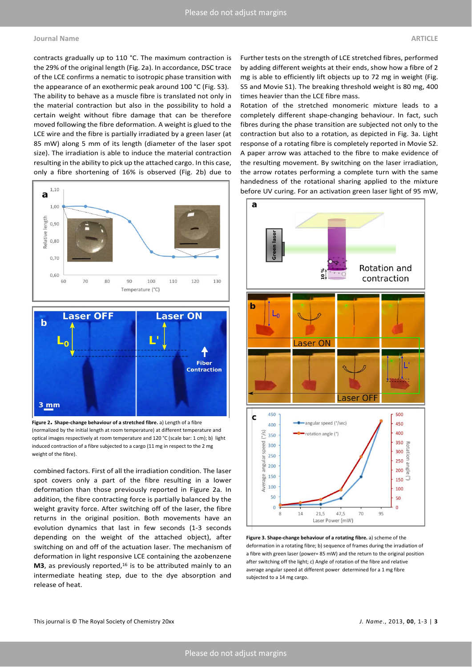### **Journal Name ARTICLE**

contracts gradually up to 110 °C. The maximum contraction is the 29% of the original length (Fig. 2a). In accordance, DSC trace of the LCE confirms a nematic to isotropic phase transition with the appearance of an exothermic peak around 100 °C (Fig. S3). The ability to behave as a muscle fibre is translated not only in the material contraction but also in the possibility to hold a certain weight without fibre damage that can be therefore moved following the fibre deformation. A weight is glued to the LCE wire and the fibre is partially irradiated by a green laser (at 85 mW) along 5 mm of its length (diameter of the laser spot size). The irradiation is able to induce the material contraction resulting in the ability to pick up the attached cargo. In this case, only a fibre shortening of 16% is observed (Fig. 2b) due to





**Figure 2. Shape-change behaviour of a stretched fibre.** a) Length of a fibre (normalized by the initial length at room temperature) at different temperature and optical images respectively at room temperature and 120 °C (scale bar: 1 cm); b) light induced contraction of a fibre subjected to a cargo (11 mg in respect to the 2 mg weight of the fibre).

combined factors. First of all the irradiation condition. The laser spot covers only a part of the fibre resulting in a lower deformation than those previously reported in Figure 2a. In addition, the fibre contracting force is partially balanced by the weight gravity force. After switching off of the laser, the fibre returns in the original position. Both movements have an evolution dynamics that last in few seconds (1-3 seconds depending on the weight of the attached object), after switching on and off of the actuation laser. The mechanism of deformation in light responsive LCE containing the azobenzene M3, as previously reported,<sup>16</sup> is to be attributed mainly to an intermediate heating step, due to the dye absorption and release of heat.

Further tests on the strength of LCE stretched fibres, performed by adding different weights at their ends, show how a fibre of 2 mg is able to efficiently lift objects up to 72 mg in weight (Fig. S5 and Movie S1). The breaking threshold weight is 80 mg, 400 times heavier than the LCE fibre mass.

Rotation of the stretched monomeric mixture leads to a completely different shape-changing behaviour. In fact, such fibres during the phase transition are subjected not only to the contraction but also to a rotation, as depicted in Fig. 3a. Light response of a rotating fibre is completely reported in Movie S2. A paper arrow was attached to the fibre to make evidence of the resulting movement. By switching on the laser irradiation, the arrow rotates performing a complete turn with the same handedness of the rotational sharing applied to the mixture before UV curing. For an activation green laser light of 95 mW,



**Figure 3. Shape-change behaviour of a rotating fibre.** a) scheme of the deformation in a rotating fibre; b) sequence of frames during the irradiation of a fibre with green laser (power= 85 mW) and the return to the original position after switching off the light; c) Angle of rotation of the fibre and relative average angular speed at different power determined for a 1 mg fibre subjected to a 14 mg cargo.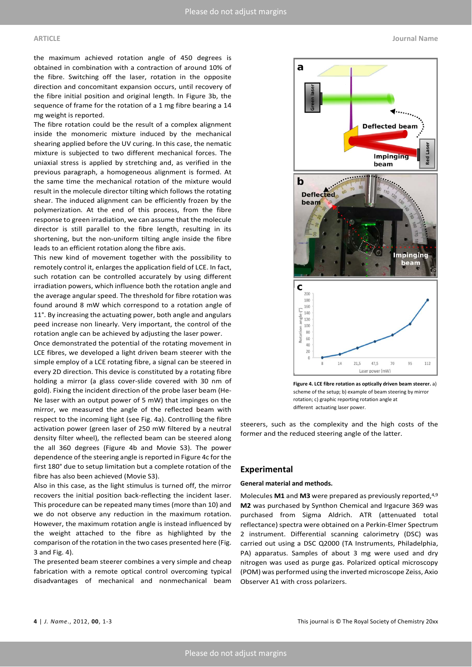a

the maximum achieved rotation angle of 450 degrees is obtained in combination with a contraction of around 10% of the fibre. Switching off the laser, rotation in the opposite direction and concomitant expansion occurs, until recovery of the fibre initial position and original length. In Figure 3b, the sequence of frame for the rotation of a 1 mg fibre bearing a 14 mg weight is reported.

The fibre rotation could be the result of a complex alignment inside the monomeric mixture induced by the mechanical shearing applied before the UV curing. In this case, the nematic mixture is subjected to two different mechanical forces. The uniaxial stress is applied by stretching and, as verified in the previous paragraph, a homogeneous alignment is formed. At the same time the mechanical rotation of the mixture would result in the molecule director tilting which follows the rotating shear. The induced alignment can be efficiently frozen by the polymerization. At the end of this process, from the fibre response to green irradiation, we can assume that the molecule director is still parallel to the fibre length, resulting in its shortening, but the non-uniform tilting angle inside the fibre leads to an efficient rotation along the fibre axis.

This new kind of movement together with the possibility to remotely control it, enlarges the application field of LCE. In fact, such rotation can be controlled accurately by using different irradiation powers, which influence both the rotation angle and the average angular speed. The threshold for fibre rotation was found around 8 mW which correspond to a rotation angle of 11°. By increasing the actuating power, both angle and angulars peed increase non linearly. Very important, the control of the rotation angle can be achieved by adjusting the laser power.

Once demonstrated the potential of the rotating movement in LCE fibres, we developed a light driven beam steerer with the simple employ of a LCE rotating fibre, a signal can be steered in every 2D direction. This device is constituted by a rotating fibre holding a mirror (a glass cover-slide covered with 30 nm of gold). Fixing the incident direction of the probe laser beam (He-Ne laser with an output power of 5 mW) that impinges on the mirror, we measured the angle of the reflected beam with respect to the incoming light (see Fig. 4a). Controlling the fibre activation power (green laser of 250 mW filtered by a neutral density filter wheel), the reflected beam can be steered along the all 360 degrees (Figure 4b and Movie S3). The power dependence of the steering angle is reported in Figure 4c for the first 180° due to setup limitation but a complete rotation of the fibre has also been achieved (Movie S3).

Also in this case, as the light stimulus is turned off, the mirror recovers the initial position back-reflecting the incident laser. This procedure can be repeated many times (more than 10) and we do not observe any reduction in the maximum rotation. However, the maximum rotation angle is instead influenced by the weight attached to the fibre as highlighted by the comparison of the rotation in the two cases presented here (Fig. 3 and Fig. 4).

The presented beam steerer combines a very simple and cheap fabrication with a remote optical control overcoming typical disadvantages of mechanical and nonmechanical beam



**Figure 4. LCE fibre rotation as optically driven beam steerer.** a) scheme of the setup; b) example of beam steering by mirror rotation; c) graphic reporting rotation angle at different actuating laser power.

steerers, such as the complexity and the high costs of the former and the reduced steering angle of the latter.

### **Experimental**

### **General material and methods.**

Molecules **M1** and **M3** were prepared as previously reported,4,9 **M2** was purchased by Synthon Chemical and Irgacure 369 was purchased from Sigma Aldrich. ATR (attenuated total reflectance) spectra were obtained on a Perkin-Elmer Spectrum 2 instrument. Differential scanning calorimetry (DSC) was carried out using a DSC Q2000 (TA Instruments, Philadelphia, PA) apparatus. Samples of about 3 mg were used and dry nitrogen was used as purge gas. Polarized optical microscopy (POM) was performed using the inverted microscope Zeiss, Axio Observer A1 with cross polarizers.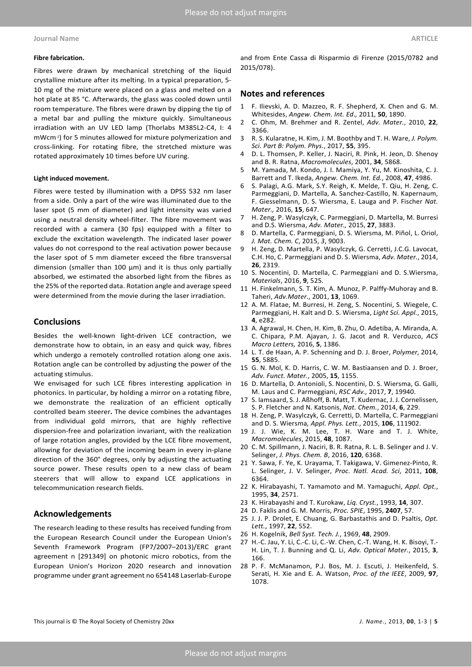Fibres were drawn by mechanical stretching of the liquid crystalline mixture after its melting. In a typical preparation, 5- 10 mg of the mixture were placed on a glass and melted on a hot plate at 85 °C. Afterwards, the glass was cooled down until room temperature. The fibres were drawn by dipping the tip of a metal bar and pulling the mixture quickly. Simultaneous irradiation with an UV LED lamp (Thorlabs M385L2-C4, I: 4 mWcm-2) for 5 minutes allowed for mixture polymerization and cross-linking. For rotating fibre, the stretched mixture was rotated approximately 10 times before UV curing.

### **Light induced movement.**

Fibres were tested by illumination with a DPSS 532 nm laser from a side. Only a part of the wire was illuminated due to the laser spot (5 mm of diameter) and light intensity was varied using a neutral density wheel-filter. The fibre movement was recorded with a camera (30 fps) equipped with a filter to exclude the excitation wavelength. The indicated laser power values do not correspond to the real activation power because the laser spot of 5 mm diameter exceed the fibre transversal dimension (smaller than 100 µm) and it is thus only partially absorbed, we estimated the absorbed light from the fibres as the 25% of the reported data. Rotation angle and average speed were determined from the movie during the laser irradiation.

### **Conclusions**

Besides the well-known light-driven LCE contraction, we demonstrate how to obtain, in an easy and quick way, fibres which undergo a remotely controlled rotation along one axis. Rotation angle can be controlled by adjusting the power of the actuating stimulus.

We envisaged for such LCE fibres interesting application in photonics. In particular, by holding a mirror on a rotating fibre, we demonstrate the realization of an efficient optically controlled beam steerer**.** The device combines the advantages from individual gold mirrors, that are highly reflective dispersion-free and polarization invariant, with the realization of large rotation angles, provided by the LCE fibre movement, allowing for deviation of the incoming beam in every in-plane direction of the 360° degrees, only by adjusting the actuating source power. These results open to a new class of beam steerers that will allow to expand LCE applications in telecommunication research fields.

### **Acknowledgements**

The research leading to these results has received funding from the European Research Council under the European Union's Seventh Framework Program (FP7/2007–2013)/ERC grant agreement n [291349] on photonic micro robotics, from the European Union's Horizon 2020 research and innovation programme under grant agreement no 654148 Laserlab-Europe

and from Ente Cassa di Risparmio di Firenze (2015/0782 and 2015/078).

### **Notes and references**

- 1 F. Ilievski, A. D. Mazzeo, R. F. Shepherd, X. Chen and G. M. Whitesides, *Angew. Chem. Int. Ed*.*,* 2011*,* **50**, 1890.
- 2 C. Ohm, M. Brehmer and R. Zentel, *Adv. Mater.*, 2010, **22**, 3366.
- 3 R. S. Kularatne, H. Kim, J. M. Boothby and T. H. Ware, *J. Polym. Sci. Part B: Polym. Phys.*, 2017, **55**, 395.
- 4 D. L. Thomsen, P. Keller, J. Naciri, R. Pink, H. Jeon, D. Shenoy and B. R. Ratna, *Macromolecules*, 2001, **34**, 5868.
- 5 M. Yamada, M. Kondo, J. I. Mamiya, Y. Yu, M. Kinoshita, C. J. Barrett and T. Ikeda, *Angew. Chem. Int. Ed.*, 2008, **47**, 4986.
- 6 S. Palagi, A.G. Mark, S.Y. Reigh, K. Melde, T. Qiu, H. Zeng, C. Parmeggiani, D. Martella, A. Sanchez-Castillo, N. Kapernaum, F. Giesselmann, D. S. Wiersma, E. Lauga and P. Fischer *Nat. Mater.,* 2016, **15**, 647.
- H. Zeng, P. Wasylczyk, C. Parmeggiani, D. Martella, M. Burresi and D.S. Wiersma, *Adv. Mater.,* 2015, **27**, 3883.
- 8 D. Martella, C. Parmeggiani, D. S. Wiersma, M. Piñol, L. Oriol, *J. Mat. Chem. C*, 2015, *3*, 9003.
- 9 H. Zeng, D. Martella, P. Wasylczyk, G. Cerretti, J.C.G. Lavocat, C.H. Ho, C. Parmeggiani and D. S. Wiersma, *Adv. Mater.*, 2014, **26**, 2319.
- 10 S. Nocentini, D. Martella, C. Parmeggiani and D. S.Wiersma, *Materials*, 2016, **9**, 525.
- 11 H. Finkelmann, S. T. Kim, A. Munoz, P. Palffy-Muhoray and B. Taheri, *Adv.Mater*., 2001, **13**, 1069.
- 12 A. M. Flatae, M. Burresi, H. Zeng, S. Nocentini, S. Wiegele, C. Parmeggiani, H. Kalt and D. S. Wiersma, *Light Sci. Appl.*, 2015, **4**, e282.
- 13 A. Agrawal, H. Chen, H. Kim, B. Zhu, O. Adetiba, A. Miranda, A. C. Chipara, P.M. Ajayan, J. G. Jacot and R. Verduzco, *ACS Macro Letters,* 2016, **5**, 1386.
- 14 L. T. de Haan, A. P. Schenning and D. J. Broer, *Polymer*, 2014, **55**, 5885.
- 15 G. N. Mol, K. D. Harris, C. W. M. Bastiaansen and D. J. Broer, *Adv. Funct. Mater.*, 2005, **15**, 1155.
- 16 D. Martella, D. Antonioli, S. Nocentini, D. S. Wiersma, G. Galli, M. Laus and C. Parmeggiani, *RSC Adv.,* 2017, **7**, 19940.
- 17 S. Iamsaard, S. J. Aßhoff, B. Matt, T. Kudernac, J. J. Cornelissen, S. P. Fletcher and N. Katsonis, *Nat. Chem.*, 2014, **6**, 229.
- 18 H. Zeng, P. Wasylczyk, G. Cerretti, D. Martella, C. Parmeggiani and D. S. Wiersma*, Appl. Phys. Lett.*, 2015, **106**, 111902.
- 19 J. J. Wie, K. M. Lee, T. H. Ware and T. J. White, *Macromolecules*, 2015, **48**, 1087.
- 20 C. M. Spillmann, J. Naciri, B. R. Ratna, R. L. B. Selinger and J. V. Selinger, *J. Phys. Chem. B*, 2016, **120**, 6368.
- 21 Y. Sawa, F. Ye, K. Urayama, T. Takigawa, V. Gimenez-Pinto, R. L. Selinger, J. V. Selinger, *Proc. Natl. Acad. Sci*, 2011, **108**, 6364.
- 22 K. Hirabayashi, T. Yamamoto and M. Yamaguchi, *Appl. Opt.*, 1995, **34**, 2571.
- 23 K. Hirabayashi and T. Kurokaw, *Liq. Cryst.*, 1993, **14**, 307.
- 24 D. Faklis and G. M. Morris, *Proc. SPIE*, 1995, **2407**, 57.
- 25 J. J. P. Drolet, E. Chuang, G. Barbastathis and D. Psaltis, *Opt. Lett.*, 1997, **22**, 552.
- 26 H. Kogelnik, *Bell Syst. Tech. J.*, 1969, **48**, 2909.
- 27 H.-C. Jau, Y. Li, C.-C. Li, C.-W. Chen, C.-T. Wang, H. K. Bisoyi, T.- H. Lin, T. J. Bunning and Q. Li, *Adv. Optical Mater.*, 2015, **3**, 166.
- 28 P. F. McManamon, P.J. Bos, M. J. Escuti, J. Heikenfeld, S. Serati, H. Xie and E. A. Watson, *Proc. of the IEEE*, 2009, **97**, 1078.